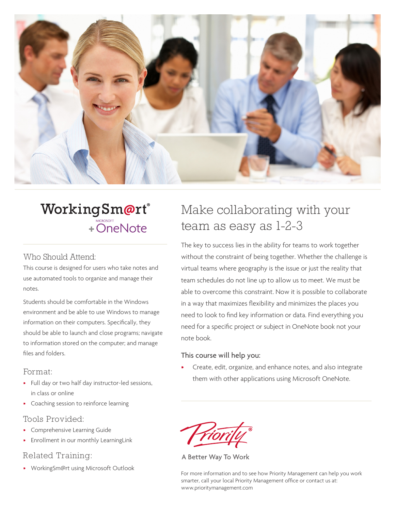

# WorkingSm@rt® + OneNote

#### Who Should Attend:

This course is designed for users who take notes and use automated tools to organize and manage their notes.

Students should be comfortable in the Windows environment and be able to use Windows to manage information on their computers. Specifically, they should be able to launch and close programs; navigate to information stored on the computer; and manage files and folders.

#### Format:

- Full day or two half day instructor-led sessions, in class or online
- Coaching session to reinforce learning

#### Tools Provided:

- Comprehensive Learning Guide
- Enrollment in our monthly LearningLink

#### Related Training:

• WorkingSm@rt using Microsoft Outlook

# Make collaborating with your team as easy as 1-2-3

The key to success lies in the ability for teams to work together without the constraint of being together. Whether the challenge is virtual teams where geography is the issue or just the reality that team schedules do not line up to allow us to meet. We must be able to overcome this constraint. Now it is possible to collaborate in a way that maximizes flexibility and minimizes the places you need to look to find key information or data. Find everything you need for a specific project or subject in OneNote book not your note book.

#### This course will help you:

• Create, edit, organize, and enhance notes, and also integrate them with other applications using Microsoft OneNote.

A Better Way To Work

For more information and to see how Priority Management can help you work smarter, call your local Priority Management office or contact us at: www.prioritymanagement.com